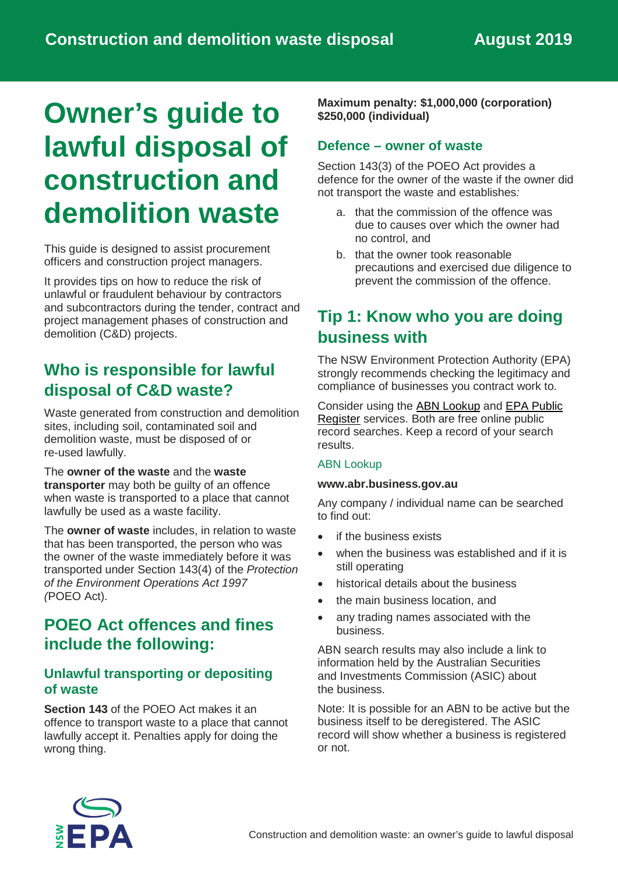# **Owner's guide to lawful disposal of construction and demolition waste**

This guide is designed to assist procurement officers and construction project managers.

It provides tips on how to reduce the risk of unlawful or fraudulent behaviour by contractors and subcontractors during the tender, contract and project management phases of construction and demolition (C&D) projects.

### **Who is responsible for lawful disposal of C&D waste?**

Waste generated from construction and demolition sites, including soil, contaminated soil and demolition waste, must be disposed of or re-used lawfully.

The **owner of the waste** and the **waste transporter** may both be guilty of an offence when waste is transported to a place that cannot lawfully be used as a waste facility.

The **owner of waste** includes, in relation to waste that has been transported, the person who was the owner of the waste immediately before it was transported under Section 143(4) of the *Protection of the Environment Operations Act 1997 (*POEO Act).

### **POEO Act offences and fines include the following:**

### **Unlawful transporting or depositing of waste**

**Section 143** of the POEO Act makes it an offence to transport waste to a place that cannot lawfully accept it. Penalties apply for doing the wrong thing.

**Maximum penalty: \$1,000,000 (corporation) \$250,000 (individual)**

### **Defence – owner of waste**

Section 143(3) of the POEO Act provides a defence for the owner of the waste if the owner did not transport the waste and establishes*:* 

- a. that the commission of the offence was due to causes over which the owner had no control, and
- b. that the owner took reasonable precautions and exercised due diligence to prevent the commission of the offence.

### **Tip 1: Know who you are doing business with**

The NSW Environment Protection Authority (EPA) strongly recommends checking the legitimacy and compliance of businesses you contract work to.

Consider using the [ABN Lookup](https://abr.business.gov.au/) and [EPA Public](https://www.epa.nsw.gov.au/licensing-and-regulation/public-registers)  [Register](https://www.epa.nsw.gov.au/licensing-and-regulation/public-registers) services. Both are free online public record searches. Keep a record of your search results.

#### ABN Lookup

#### **www[.abr.business.gov.au](http://abr.business.gov.au/)**

Any company / individual name can be searched to find out:

- if the business exists
- when the business was established and if it is still operating
- historical details about the business
- the main business location, and
- any trading names associated with the business.

ABN search results may also include a link to information held by the Australian Securities and Investments Commission (ASIC) about the business.

Note: It is possible for an ABN to be active but the business itself to be deregistered. The ASIC record will show whether a business is registered or not.

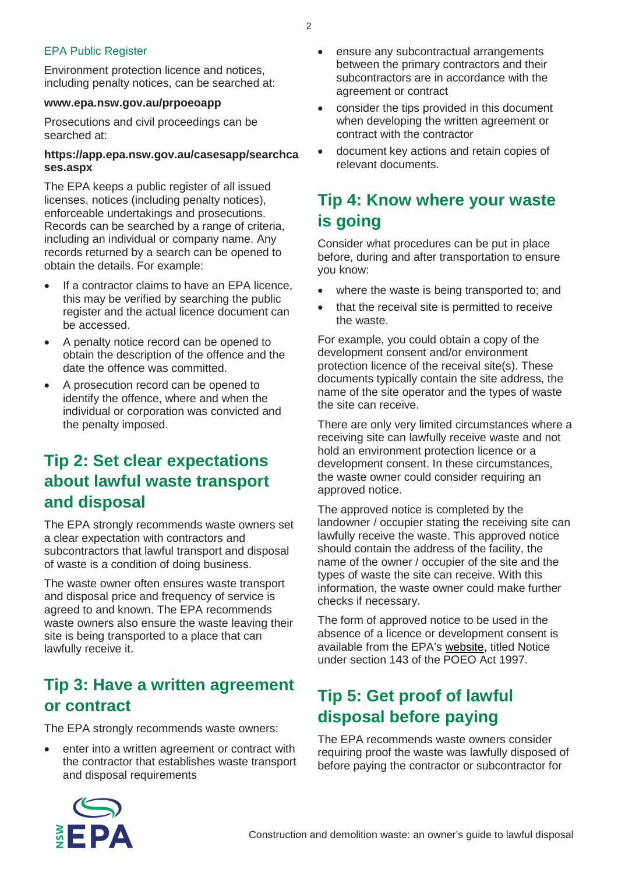#### EPA Public Register

Environment protection licence and notices, including penalty notices, can be searched at:

#### **[www.epa.nsw.gov.au/prpoeoapp](http://www.epa.nsw.gov.au/prpoeoapp)**

Prosecutions and civil proceedings can be searched at:

#### **https:/[/app.epa.nsw.gov.au/casesapp/searchca](http://app.epa.nsw.gov.au/casesapp/searchcases.aspx) [ses.aspx](http://app.epa.nsw.gov.au/casesapp/searchcases.aspx)**

The EPA keeps a public register of all issued licenses, notices (including penalty notices), enforceable undertakings and prosecutions. Records can be searched by a range of criteria, including an individual or company name. Any records returned by a search can be opened to obtain the details. For example:

- If a contractor claims to have an EPA licence, this may be verified by searching the public register and the actual licence document can be accessed.
- A penalty notice record can be opened to obtain the description of the offence and the date the offence was committed.
- A prosecution record can be opened to identify the offence, where and when the individual or corporation was convicted and the penalty imposed.

### **Tip 2: Set clear expectations about lawful waste transport and disposal**

The EPA strongly recommends waste owners set a clear expectation with contractors and subcontractors that lawful transport and disposal of waste is a condition of doing business.

The waste owner often ensures waste transport and disposal price and frequency of service is agreed to and known. The EPA recommends waste owners also ensure the waste leaving their site is being transported to a place that can lawfully receive it.

### **Tip 3: Have a written agreement or contract**

The EPA strongly recommends waste owners:

• enter into a written agreement or contract with the contractor that establishes waste transport and disposal requirements

- ensure any subcontractual arrangements between the primary contractors and their subcontractors are in accordance with the agreement or contract
- consider the tips provided in this document when developing the written agreement or contract with the contractor
- document key actions and retain copies of relevant documents.

## **Tip 4: Know where your waste is going**

Consider what procedures can be put in place before, during and after transportation to ensure you know:

- where the waste is being transported to: and
- that the receival site is permitted to receive the waste.

For example, you could obtain a copy of the development consent and/or environment protection licence of the receival site(s). These documents typically contain the site address, the name of the site operator and the types of waste the site can receive.

There are only very limited circumstances where a receiving site can lawfully receive waste and not hold an environment protection licence or a development consent. In these circumstances, the waste owner could consider requiring an approved notice.

The approved notice is completed by the landowner / occupier stating the receiving site can lawfully receive the waste. This approved notice should contain the address of the facility, the name of the owner / occupier of the site and the types of waste the site can receive. With this information, the waste owner could make further checks if necessary.

The form of approved notice to be used in the absence of a licence or development consent is available from the EPA's [website,](https://www.epa.nsw.gov.au/licensing-and-regulation/legislation-and-compliance/notices-and-other-reg-docs) titled Notice under section 143 of the POEO Act 1997.

# **Tip 5: Get proof of lawful disposal before paying**

The EPA recommends waste owners consider requiring proof the waste was lawfully disposed of before paying the contractor or subcontractor for